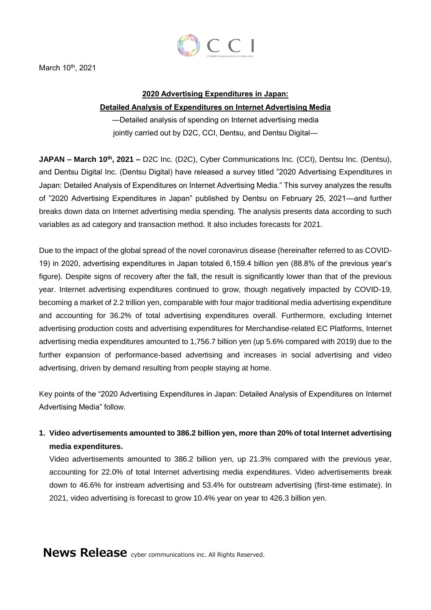

March 10<sup>th</sup>, 2021

### **2020 Advertising Expenditures in Japan:**

### **Detailed Analysis of Expenditures on Internet Advertising Media**

—Detailed analysis of spending on Internet advertising media jointly carried out by D2C, CCI, Dentsu, and Dentsu Digital-

**JAPAN – March 10th, 2021 –** D2C Inc. (D2C), Cyber Communications Inc. (CCI), Dentsu Inc. (Dentsu), and Dentsu Digital Inc. (Dentsu Digital) have released a survey titled "2020 Advertising Expenditures in Japan: Detailed Analysis of Expenditures on Internet Advertising Media." This survey analyzes the results of "2020 Advertising Expenditures in Japan" published by Dentsu on February 25, 2021—and further breaks down data on Internet advertising media spending. The analysis presents data according to such variables as ad category and transaction method. It also includes forecasts for 2021.

Due to the impact of the global spread of the novel coronavirus disease (hereinafter referred to as COVID-19) in 2020, advertising expenditures in Japan totaled 6,159.4 billion yen (88.8% of the previous year's figure). Despite signs of recovery after the fall, the result is significantly lower than that of the previous year. Internet advertising expenditures continued to grow, though negatively impacted by COVID-19, becoming a market of 2.2 trillion yen, comparable with four major traditional media advertising expenditure and accounting for 36.2% of total advertising expenditures overall. Furthermore, excluding Internet advertising production costs and advertising expenditures for Merchandise-related EC Platforms, Internet advertising media expenditures amounted to 1,756.7 billion yen (up 5.6% compared with 2019) due to the further expansion of performance-based advertising and increases in social advertising and video advertising, driven by demand resulting from people staying at home.

Key points of the "2020 Advertising Expenditures in Japan: Detailed Analysis of Expenditures on Internet Advertising Media" follow.

**1. Video advertisements amounted to 386.2 billion yen, more than 20% of total Internet advertising media expenditures.**

Video advertisements amounted to 386.2 billion yen, up 21.3% compared with the previous year, accounting for 22.0% of total Internet advertising media expenditures. Video advertisements break down to 46.6% for instream advertising and 53.4% for outstream advertising (first-time estimate). In 2021, video advertising is forecast to grow 10.4% year on year to 426.3 billion yen.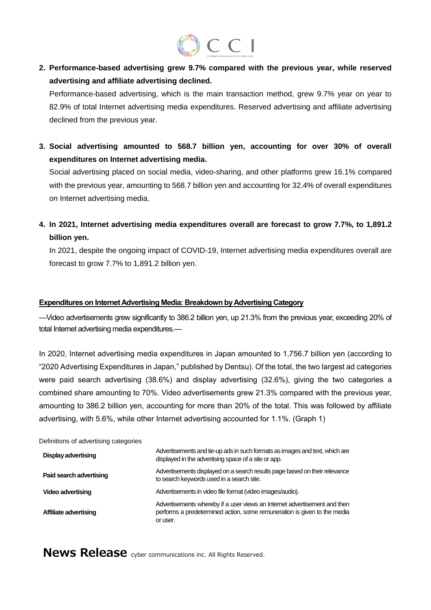# CCI

**2. Performance-based advertising grew 9.7% compared with the previous year, while reserved advertising and affiliate advertising declined.**

Performance-based advertising, which is the main transaction method, grew 9.7% year on year to 82.9% of total Internet advertising media expenditures. Reserved advertising and affiliate advertising declined from the previous year.

**3. Social advertising amounted to 568.7 billion yen, accounting for over 30% of overall expenditures on Internet advertising media.**

Social advertising placed on social media, video-sharing, and other platforms grew 16.1% compared with the previous year, amounting to 568.7 billion yen and accounting for 32.4% of overall expenditures on Internet advertising media.

**4. In 2021, Internet advertising media expenditures overall are forecast to grow 7.7%, to 1,891.2 billion yen.**

In 2021, despite the ongoing impact of COVID-19, Internet advertising media expenditures overall are forecast to grow 7.7% to 1,891.2 billion yen.

### **Expenditures on Internet Advertising Media: Breakdown by Advertising Category**

—Video advertisements grew significantly to 386.2 billion yen, up 21.3% from the previous year, exceeding 20% of total Internet advertising media expenditures.—

In 2020, Internet advertising media expenditures in Japan amounted to 1,756.7 billion yen (according to "2020 Advertising Expenditures in Japan," published by Dentsu). Of the total, the two largest ad categories were paid search advertising (38.6%) and display advertising (32.6%), giving the two categories a combined share amounting to 70%. Video advertisements grew 21.3% compared with the previous year, amounting to 386.2 billion yen, accounting for more than 20% of the total. This was followed by affiliate advertising, with 5.6%, while other Internet advertising accounted for 1.1%. (Graph 1)

| Definitions of advertising categories |                                                                                                                                                                   |
|---------------------------------------|-------------------------------------------------------------------------------------------------------------------------------------------------------------------|
| <b>Display advertising</b>            | Advertisements and tie-up ads in such formats as images and text, which are<br>displayed in the advertising space of a site or app.                               |
| Paid search advertising               | Advertisements displayed on a search results page based on their relevance<br>to search keywords used in a search site.                                           |
| <b>Video advertising</b>              | Advertisements in video file format (video images/audio).                                                                                                         |
| Affiliate advertising                 | Advertisements whereby if a user views an Internet advertisement and then<br>performs a predetermined action, some remuneration is given to the media<br>or user. |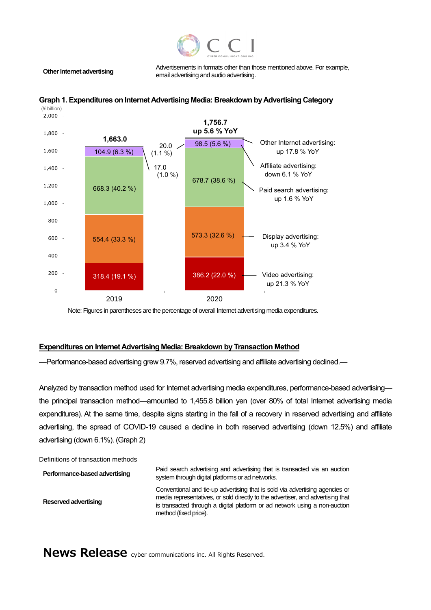

**Other Internet advertising** Advertisements in formats other than those mentioned above. For example, email advertising and audio advertising.





Note: Figures in parentheses are the percentage of overall Internet advertising media expenditures.

#### **Expenditures on Internet Advertising Media: Breakdown by Transaction Method**

—Performance-based advertising grew 9.7%, reserved advertising and affiliate advertising declined.—

Analyzed by transaction method used for Internet advertising media expenditures, performance-based advertising the principal transaction method—amounted to 1,455.8 billion yen (over 80% of total Internet advertising media expenditures). At the same time, despite signs starting in the fall of a recovery in reserved advertising and affiliate advertising, the spread of COVID-19 caused a decline in both reserved advertising (down 12.5%) and affiliate advertising (down 6.1%). (Graph 2)

Definitions of transaction methods

**Performance-based advertising Paid search advertising and advertising that is transacted via an auction** system through digital platforms or ad networks. **Reserved advertising** Conventional and tie-up advertising that is sold via advertising agencies or media representatives, or sold directly to the advertiser, and advertising that is transacted through a digital platform or ad network using a non-auction method (fixed price).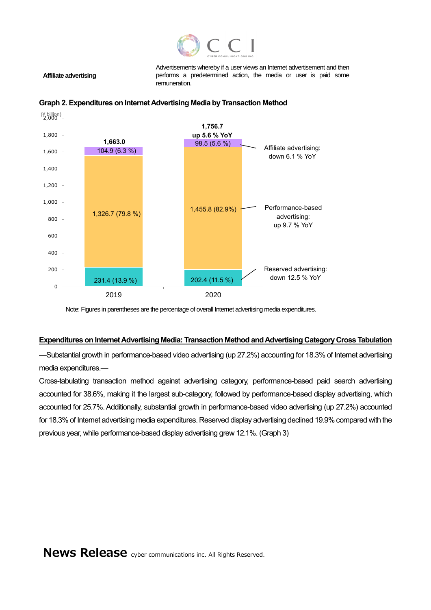

Advertisements whereby if a user views an Internet advertisement and then performs a predetermined action, the media or user is paid some remuneration.





**Affiliate advertising**

Note: Figures in parentheses are the percentage of overall Internet advertising media expenditures.

#### **Expenditures on Internet Advertising Media: Transaction Method and Advertising Category Cross Tabulation**

—Substantial growth in performance-based video advertising (up 27.2%) accounting for 18.3% of Internet advertising media expenditures.—

Cross-tabulating transaction method against advertising category, performance-based paid search advertising accounted for 38.6%, making it the largest sub-category, followed by performance-based display advertising, which accounted for 25.7%. Additionally, substantial growth in performance-based video advertising (up 27.2%) accounted for 18.3% of Internet advertising media expenditures. Reserved display advertising declined 19.9% compared with the previous year, while performance-based display advertising grew 12.1%. (Graph 3)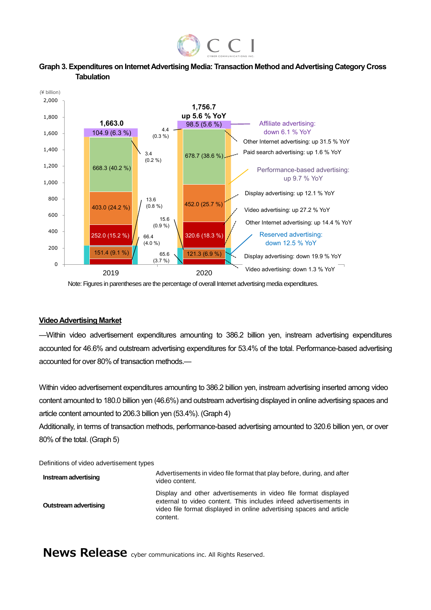





Note: Figures in parentheses are the percentage of overall Internet advertising media expenditures.

### **Video Advertising Market**

—Within video advertisement expenditures amounting to 386.2 billion yen, instream advertising expenditures accounted for 46.6% and outstream advertising expenditures for 53.4% of the total. Performance-based advertising accounted for over 80% of transaction methods.—

Within video advertisement expenditures amounting to 386.2 billion yen, instream advertising inserted among video content amounted to 180.0 billion yen (46.6%) and outstream advertising displayed in online advertising spaces and article content amounted to 206.3 billion yen (53.4%). (Graph 4)

Additionally, in terms of transaction methods, performance-based advertising amounted to 320.6 billion yen, or over 80% of the total. (Graph 5)

Definitions of video advertisement types

| Instream advertising         | Advertisements in video file format that play before, during, and after<br>video content.                                                                                                                                |
|------------------------------|--------------------------------------------------------------------------------------------------------------------------------------------------------------------------------------------------------------------------|
| <b>Outstream advertising</b> | Display and other advertisements in video file format displayed<br>external to video content. This includes infeed advertisements in<br>video file format displayed in online advertising spaces and article<br>content. |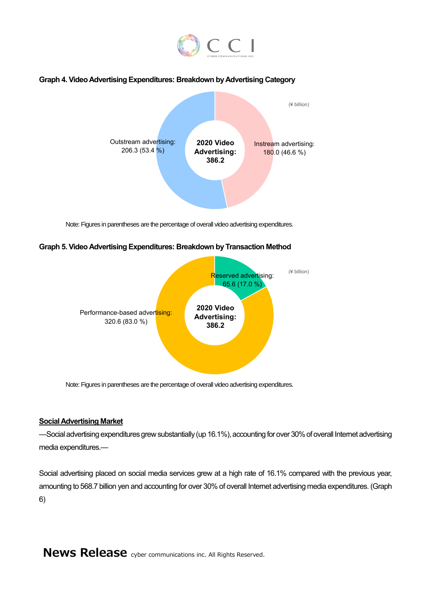

### **Graph 4. Video Advertising Expenditures: Breakdown by Advertising Category**



Note: Figures in parentheses are the percentage of overall video advertising expenditures.

### **Graph 5. Video Advertising Expenditures: Breakdown by Transaction Method**



Note: Figures in parentheses are the percentage of overall video advertising expenditures.

### **Social Advertising Market**

—Social advertising expenditures grew substantially (up 16.1%), accounting for over 30% of overall Internet advertising media expenditures.—

Social advertising placed on social media services grew at a high rate of 16.1% compared with the previous year, amounting to 568.7 billion yen and accounting for over 30% of overall Internet advertising media expenditures. (Graph 6)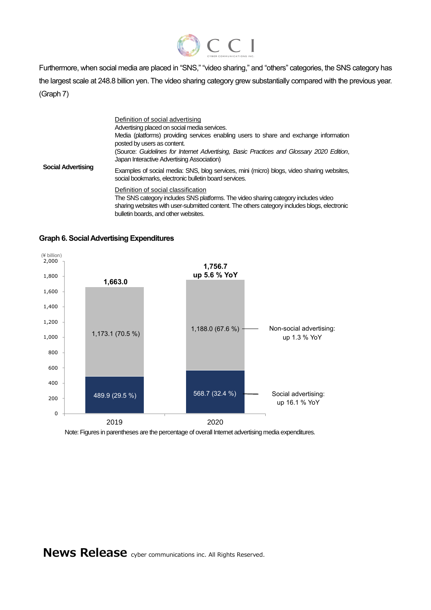

Furthermore, when social media are placed in "SNS," "video sharing," and "others" categories, the SNS category has the largest scale at 248.8 billion yen. The video sharing category grew substantially compared with the previous year. (Graph 7)

| <b>Social Advertising</b> | Definition of social advertising<br>Advertising placed on social media services.<br>Media (platforms) providing services enabling users to share and exchange information<br>posted by users as content.<br>(Source: Guidelines for Internet Advertising, Basic Practices and Glossary 2020 Edition,<br>Japan Interactive Advertising Association) |
|---------------------------|----------------------------------------------------------------------------------------------------------------------------------------------------------------------------------------------------------------------------------------------------------------------------------------------------------------------------------------------------|
|                           | Examples of social media: SNS, blog services, mini (micro) blogs, video sharing websites,<br>social bookmarks, electronic bulletin board services.                                                                                                                                                                                                 |
|                           | Definition of social classification<br>The SNS category includes SNS platforms. The video sharing category includes video<br>sharing websites with user-submitted content. The others category includes blogs, electronic<br>bulletin boards, and other websites.                                                                                  |



**Graph 6. Social Advertising Expenditures**

Note: Figures in parentheses are the percentage of overall Internet advertising media expenditures.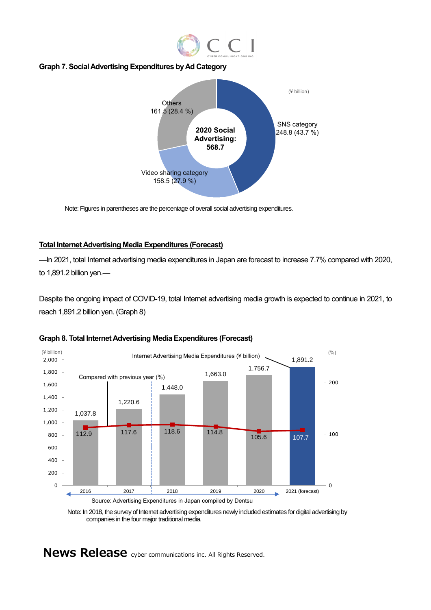

### **Graph 7. Social Advertising Expenditures by Ad Category**



Note: Figures in parentheses are the percentage of overall social advertising expenditures.

### **Total Internet Advertising Media Expenditures (Forecast)**

—In 2021, total Internet advertising media expenditures in Japan are forecast to increase 7.7% compared with 2020, to 1,891.2 billion yen.—

Despite the ongoing impact of COVID-19, total Internet advertising media growth is expected to continue in 2021, to reach 1,891.2 billion yen. (Graph 8)



#### **Graph 8. Total Internet Advertising Media Expenditures (Forecast)**

Note: In 2018, the survey of Internet advertising expenditures newly included estimates for digital advertising by companies in the four major traditional media.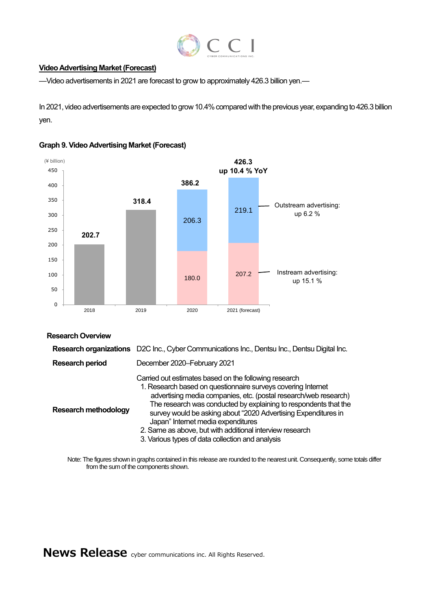

### **Video Advertising Market (Forecast)**

—Video advertisements in 2021 are forecast to grow to approximately 426.3 billion yen.—

In 2021, video advertisements are expected to grow 10.4% compared with the previous year, expanding to 426.3 billion yen.





### **Research Overview**

|                             | Research organizations D2C Inc., Cyber Communications Inc., Dentsu Inc., Dentsu Digital Inc.                                                                                                                                                                                                                                                                                                                                                                                          |
|-----------------------------|---------------------------------------------------------------------------------------------------------------------------------------------------------------------------------------------------------------------------------------------------------------------------------------------------------------------------------------------------------------------------------------------------------------------------------------------------------------------------------------|
| <b>Research period</b>      | December 2020-February 2021                                                                                                                                                                                                                                                                                                                                                                                                                                                           |
| <b>Research methodology</b> | Carried out estimates based on the following research<br>1. Research based on questionnaire surveys covering Internet<br>advertising media companies, etc. (postal research/web research)<br>The research was conducted by explaining to respondents that the<br>survey would be asking about "2020 Advertising Expenditures in<br>Japan" Internet media expenditures<br>2. Same as above, but with additional interview research<br>3. Various types of data collection and analysis |

Note: The figures shown in graphs contained in this release are rounded to the nearest unit. Consequently, some totals differ from the sum of the components shown.